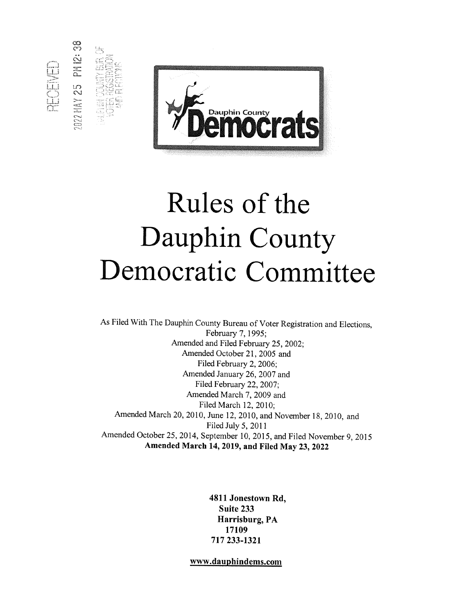

2HAY 25 PM 12:

**SECTION** 

# Rules of the Dauphin County Democratic Committee

As Filed With The Dauphin County Bureau of Voter Registration and Elections, February 7, 1995; Amended and Filed February 25, 2002; Amended October 21, 2005 and Filed February 2, 2006; Amended January 26, 2007 and Filed February 22, 2007; Amended March 7, 2009 and Filed March 12, 2010; Amended March 20, 2010, June 12, 2010, and November 18, 2010, and Filed July 5, 2011 Amended October 25, 2014, September 10, 2015, and Filed November 9, 2015 Amended March 14, 2019, and Filed May 23, 2022

> 4811 Jonestown Rd, Suite 233 Harrisburg, PA 17109 717 233-1321

www.dauphindems.com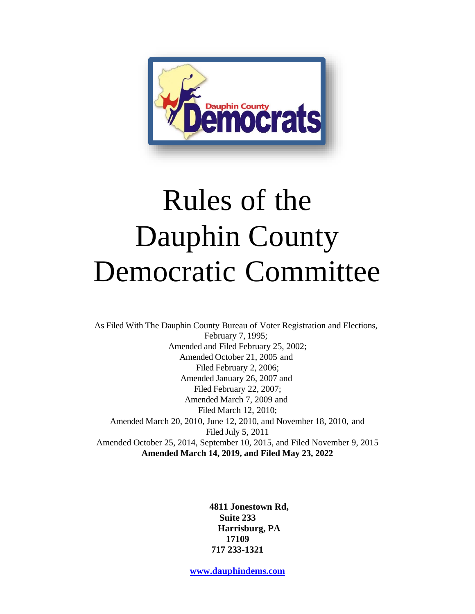

# Rules of the Dauphin County Democratic Committee

As Filed With The Dauphin County Bureau of Voter Registration and Elections, February 7, 1995; Amended and Filed February 25, 2002; Amended October 21, 2005 and Filed February 2, 2006; Amended January 26, 2007 and Filed February 22, 2007; Amended March 7, 2009 and Filed March 12, 2010; Amended March 20, 2010, June 12, 2010, and November 18, 2010, and Filed July 5, 2011 Amended October 25, 2014, September 10, 2015, and Filed November 9, 2015 **Amended March 14, 2019, and Filed May 23, 2022**

> **4811 Jonestown Rd, Suite 233 Harrisburg, PA 17109 717 233-1321**

**[www.dauphindems.com](http://www.dauphindems.com/)**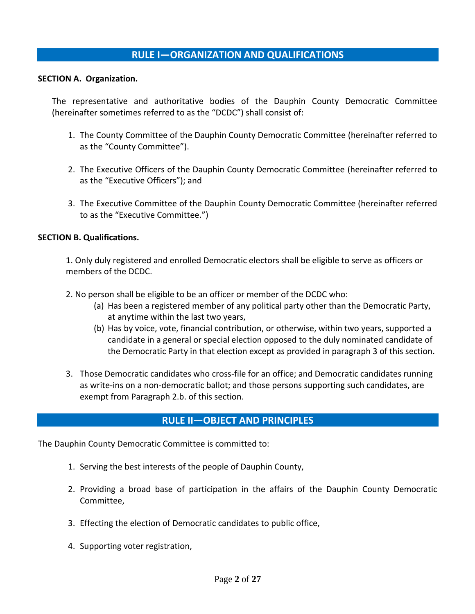# **RULE I—ORGANIZATION AND QUALIFICATIONS**

#### **SECTION A. Organization.**

The representative and authoritative bodies of the Dauphin County Democratic Committee (hereinafter sometimes referred to as the "DCDC") shall consist of:

- 1. The County Committee of the Dauphin County Democratic Committee (hereinafter referred to as the "County Committee").
- 2. The Executive Officers of the Dauphin County Democratic Committee (hereinafter referred to as the "Executive Officers"); and
- 3. The Executive Committee of the Dauphin County Democratic Committee (hereinafter referred to as the "Executive Committee.")

#### **SECTION B. Qualifications.**

1. Only duly registered and enrolled Democratic electors shall be eligible to serve as officers or members of the DCDC.

- 2. No person shall be eligible to be an officer or member of the DCDC who:
	- (a) Has been a registered member of any political party other than the Democratic Party, at anytime within the last two years,
	- (b) Has by voice, vote, financial contribution, or otherwise, within two years, supported a candidate in a general or special election opposed to the duly nominated candidate of the Democratic Party in that election except as provided in paragraph 3 of this section.
- 3. Those Democratic candidates who cross-file for an office; and Democratic candidates running as write-ins on a non-democratic ballot; and those persons supporting such candidates, are exempt from Paragraph 2.b. of this section.

## **RULE II—OBJECT AND PRINCIPLES**

The Dauphin County Democratic Committee is committed to:

- 1. Serving the best interests of the people of Dauphin County,
- 2. Providing a broad base of participation in the affairs of the Dauphin County Democratic Committee,
- 3. Effecting the election of Democratic candidates to public office,
- 4. Supporting voter registration,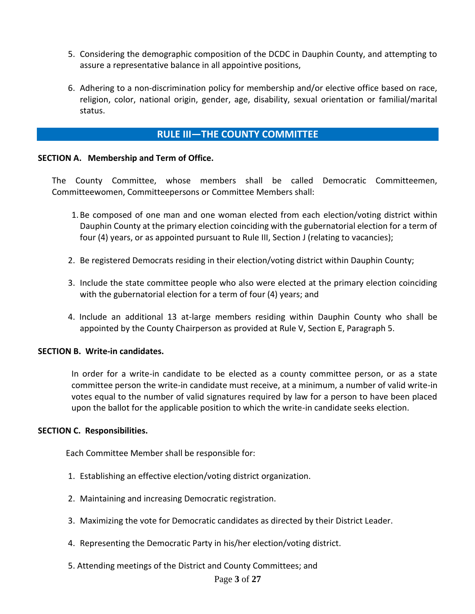- 5. Considering the demographic composition of the DCDC in Dauphin County, and attempting to assure a representative balance in all appointive positions,
- 6. Adhering to a non-discrimination policy for membership and/or elective office based on race, religion, color, national origin, gender, age, disability, sexual orientation or familial/marital status.

# **RULE III—THE COUNTY COMMITTEE**

#### **SECTION A. Membership and Term of Office.**

The County Committee, whose members shall be called Democratic Committeemen, Committeewomen, Committeepersons or Committee Members shall:

- 1.Be composed of one man and one woman elected from each election/voting district within Dauphin County at the primary election coinciding with the gubernatorial election for a term of four (4) years, or as appointed pursuant to Rule III, Section J (relating to vacancies);
- 2. Be registered Democrats residing in their election/voting district within Dauphin County;
- 3. Include the state committee people who also were elected at the primary election coinciding with the gubernatorial election for a term of four (4) years; and
- 4. Include an additional 13 at-large members residing within Dauphin County who shall be appointed by the County Chairperson as provided at Rule V, Section E, Paragraph 5.

#### **SECTION B. Write-in candidates.**

In order for a write-in candidate to be elected as a county committee person, or as a state committee person the write-in candidate must receive, at a minimum, a number of valid write-in votes equal to the number of valid signatures required by law for a person to have been placed upon the ballot for the applicable position to which the write-in candidate seeks election.

#### **SECTION C. Responsibilities.**

Each Committee Member shall be responsible for:

- 1. Establishing an effective election/voting district organization.
- 2. Maintaining and increasing Democratic registration.
- 3. Maximizing the vote for Democratic candidates as directed by their District Leader.
- 4. Representing the Democratic Party in his/her election/voting district.
- 5. Attending meetings of the District and County Committees; and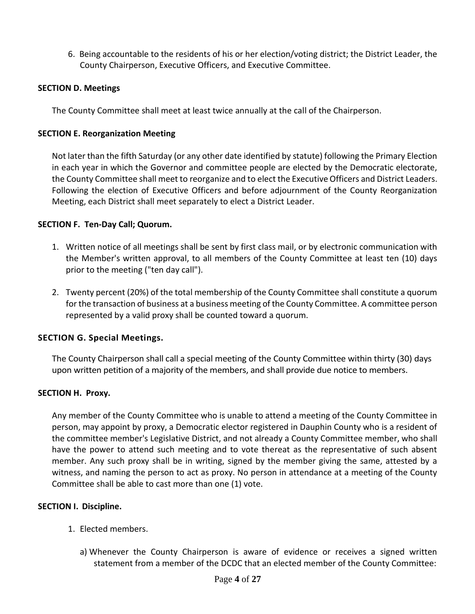6. Being accountable to the residents of his or her election/voting district; the District Leader, the County Chairperson, Executive Officers, and Executive Committee.

#### **SECTION D. Meetings**

The County Committee shall meet at least twice annually at the call of the Chairperson.

#### **SECTION E. Reorganization Meeting**

Not later than the fifth Saturday (or any other date identified by statute) following the Primary Election in each year in which the Governor and committee people are elected by the Democratic electorate, the County Committee shall meet to reorganize and to elect the Executive Officers and District Leaders. Following the election of Executive Officers and before adjournment of the County Reorganization Meeting, each District shall meet separately to elect a District Leader.

#### **SECTION F. Ten-Day Call; Quorum.**

- 1. Written notice of all meetings shall be sent by first class mail, or by electronic communication with the Member's written approval, to all members of the County Committee at least ten (10) days prior to the meeting ("ten day call").
- 2. Twenty percent (20%) of the total membership of the County Committee shall constitute a quorum for the transaction of business at a business meeting of the County Committee. A committee person represented by a valid proxy shall be counted toward a quorum.

#### **SECTION G. Special Meetings.**

The County Chairperson shall call a special meeting of the County Committee within thirty (30) days upon written petition of a majority of the members, and shall provide due notice to members.

#### **SECTION H. Proxy.**

Any member of the County Committee who is unable to attend a meeting of the County Committee in person, may appoint by proxy, a Democratic elector registered in Dauphin County who is a resident of the committee member's Legislative District, and not already a County Committee member, who shall have the power to attend such meeting and to vote thereat as the representative of such absent member. Any such proxy shall be in writing, signed by the member giving the same, attested by a witness, and naming the person to act as proxy. No person in attendance at a meeting of the County Committee shall be able to cast more than one (1) vote.

#### **SECTION I. Discipline.**

- 1. Elected members.
	- a) Whenever the County Chairperson is aware of evidence or receives a signed written statement from a member of the DCDC that an elected member of the County Committee: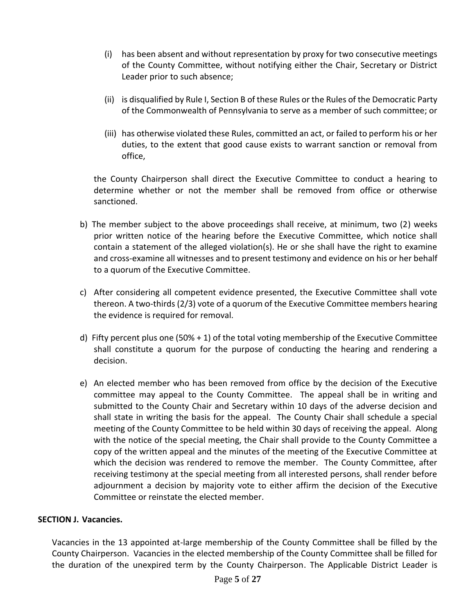- (i) has been absent and without representation by proxy for two consecutive meetings of the County Committee, without notifying either the Chair, Secretary or District Leader prior to such absence;
- (ii) is disqualified by Rule I, Section B of these Rules or the Rules of the Democratic Party of the Commonwealth of Pennsylvania to serve as a member of such committee; or
- (iii) has otherwise violated these Rules, committed an act, or failed to perform his or her duties, to the extent that good cause exists to warrant sanction or removal from office,

the County Chairperson shall direct the Executive Committee to conduct a hearing to determine whether or not the member shall be removed from office or otherwise sanctioned.

- b) The member subject to the above proceedings shall receive, at minimum, two (2) weeks prior written notice of the hearing before the Executive Committee, which notice shall contain a statement of the alleged violation(s). He or she shall have the right to examine and cross-examine all witnesses and to present testimony and evidence on his or her behalf to a quorum of the Executive Committee.
- c) After considering all competent evidence presented, the Executive Committee shall vote thereon. A two-thirds (2/3) vote of a quorum of the Executive Committee members hearing the evidence is required for removal.
- d) Fifty percent plus one (50% + 1) of the total voting membership of the Executive Committee shall constitute a quorum for the purpose of conducting the hearing and rendering a decision.
- e) An elected member who has been removed from office by the decision of the Executive committee may appeal to the County Committee. The appeal shall be in writing and submitted to the County Chair and Secretary within 10 days of the adverse decision and shall state in writing the basis for the appeal. The County Chair shall schedule a special meeting of the County Committee to be held within 30 days of receiving the appeal. Along with the notice of the special meeting, the Chair shall provide to the County Committee a copy of the written appeal and the minutes of the meeting of the Executive Committee at which the decision was rendered to remove the member. The County Committee, after receiving testimony at the special meeting from all interested persons, shall render before adjournment a decision by majority vote to either affirm the decision of the Executive Committee or reinstate the elected member.

## **SECTION J. Vacancies.**

Vacancies in the 13 appointed at-large membership of the County Committee shall be filled by the County Chairperson. Vacancies in the elected membership of the County Committee shall be filled for the duration of the unexpired term by the County Chairperson. The Applicable District Leader is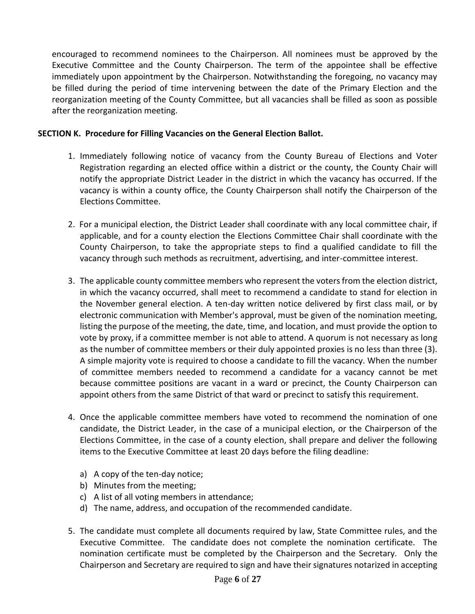encouraged to recommend nominees to the Chairperson. All nominees must be approved by the Executive Committee and the County Chairperson. The term of the appointee shall be effective immediately upon appointment by the Chairperson. Notwithstanding the foregoing, no vacancy may be filled during the period of time intervening between the date of the Primary Election and the reorganization meeting of the County Committee, but all vacancies shall be filled as soon as possible after the reorganization meeting.

#### **SECTION K. Procedure for Filling Vacancies on the General Election Ballot.**

- 1. Immediately following notice of vacancy from the County Bureau of Elections and Voter Registration regarding an elected office within a district or the county, the County Chair will notify the appropriate District Leader in the district in which the vacancy has occurred. If the vacancy is within a county office, the County Chairperson shall notify the Chairperson of the Elections Committee.
- 2. For a municipal election, the District Leader shall coordinate with any local committee chair, if applicable, and for a county election the Elections Committee Chair shall coordinate with the County Chairperson, to take the appropriate steps to find a qualified candidate to fill the vacancy through such methods as recruitment, advertising, and inter-committee interest.
- 3. The applicable county committee members who represent the voters from the election district, in which the vacancy occurred, shall meet to recommend a candidate to stand for election in the November general election. A ten-day written notice delivered by first class mail, or by electronic communication with Member's approval, must be given of the nomination meeting, listing the purpose of the meeting, the date, time, and location, and must provide the option to vote by proxy, if a committee member is not able to attend. A quorum is not necessary as long as the number of committee members or their duly appointed proxies is no less than three (3). A simple majority vote is required to choose a candidate to fill the vacancy. When the number of committee members needed to recommend a candidate for a vacancy cannot be met because committee positions are vacant in a ward or precinct, the County Chairperson can appoint others from the same District of that ward or precinct to satisfy this requirement.
- 4. Once the applicable committee members have voted to recommend the nomination of one candidate, the District Leader, in the case of a municipal election, or the Chairperson of the Elections Committee, in the case of a county election, shall prepare and deliver the following items to the Executive Committee at least 20 days before the filing deadline:
	- a) A copy of the ten-day notice;
	- b) Minutes from the meeting;
	- c) A list of all voting members in attendance;
	- d) The name, address, and occupation of the recommended candidate.
- 5. The candidate must complete all documents required by law, State Committee rules, and the Executive Committee. The candidate does not complete the nomination certificate. The nomination certificate must be completed by the Chairperson and the Secretary. Only the Chairperson and Secretary are required to sign and have their signatures notarized in accepting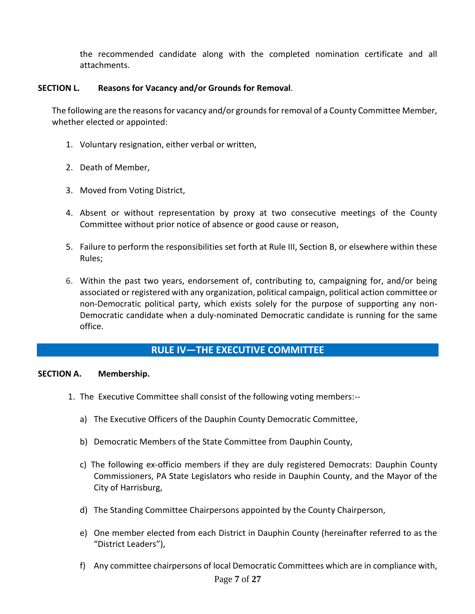the recommended candidate along with the completed nomination certificate and all attachments.

#### **SECTION L. Reasons for Vacancy and/or Grounds for Removal**.

The following are the reasons for vacancy and/or grounds for removal of a County Committee Member, whether elected or appointed:

- 1. Voluntary resignation, either verbal or written,
- 2. Death of Member,
- 3. Moved from Voting District,
- 4. Absent or without representation by proxy at two consecutive meetings of the County Committee without prior notice of absence or good cause or reason,
- 5. Failure to perform the responsibilities set forth at Rule III, Section B, or elsewhere within these Rules;
- 6. Within the past two years, endorsement of, contributing to, campaigning for, and/or being associated or registered with any organization, political campaign, political action committee or non-Democratic political party, which exists solely for the purpose of supporting any non-Democratic candidate when a duly-nominated Democratic candidate is running for the same office.

## **RULE IV—THE EXECUTIVE COMMITTEE**

#### **SECTION A. Membership.**

- 1. The Executive Committee shall consist of the following voting members:-
	- a) The Executive Officers of the Dauphin County Democratic Committee,
	- b) Democratic Members of the State Committee from Dauphin County,
	- c) The following ex-officio members if they are duly registered Democrats: Dauphin County Commissioners, PA State Legislators who reside in Dauphin County, and the Mayor of the City of Harrisburg,
	- d) The Standing Committee Chairpersons appointed by the County Chairperson,
	- e) One member elected from each District in Dauphin County (hereinafter referred to as the "District Leaders"),
	- f) Any committee chairpersons of local Democratic Committees which are in compliance with,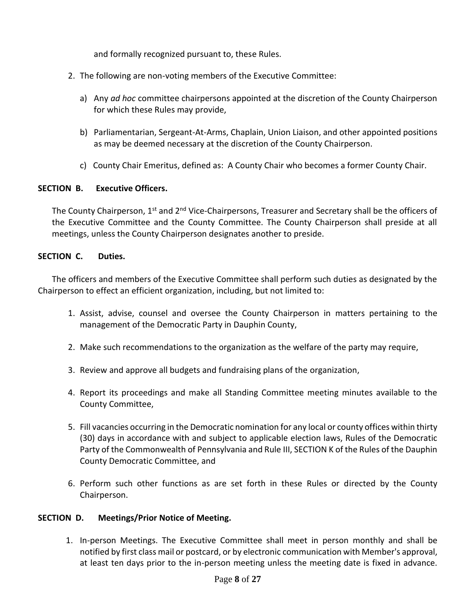and formally recognized pursuant to, these Rules.

- 2. The following are non-voting members of the Executive Committee:
	- a) Any *ad hoc* committee chairpersons appointed at the discretion of the County Chairperson for which these Rules may provide,
	- b) Parliamentarian, Sergeant-At-Arms, Chaplain, Union Liaison, and other appointed positions as may be deemed necessary at the discretion of the County Chairperson.
	- c) County Chair Emeritus, defined as: A County Chair who becomes a former County Chair.

#### **SECTION B. Executive Officers.**

The County Chairperson, 1<sup>st</sup> and 2<sup>nd</sup> Vice-Chairpersons, Treasurer and Secretary shall be the officers of the Executive Committee and the County Committee. The County Chairperson shall preside at all meetings, unless the County Chairperson designates another to preside.

#### **SECTION C. Duties.**

The officers and members of the Executive Committee shall perform such duties as designated by the Chairperson to effect an efficient organization, including, but not limited to:

- 1. Assist, advise, counsel and oversee the County Chairperson in matters pertaining to the management of the Democratic Party in Dauphin County,
- 2. Make such recommendations to the organization as the welfare of the party may require,
- 3. Review and approve all budgets and fundraising plans of the organization,
- 4. Report its proceedings and make all Standing Committee meeting minutes available to the County Committee,
- 5. Fill vacancies occurring in the Democratic nomination for any local or county offices within thirty (30) days in accordance with and subject to applicable election laws, Rules of the Democratic Party of the Commonwealth of Pennsylvania and Rule III, SECTION K of the Rules of the Dauphin County Democratic Committee, and
- 6. Perform such other functions as are set forth in these Rules or directed by the County Chairperson.

## **SECTION D. Meetings/Prior Notice of Meeting.**

1. In-person Meetings. The Executive Committee shall meet in person monthly and shall be notified by first class mail or postcard, or by electronic communication with Member's approval, at least ten days prior to the in-person meeting unless the meeting date is fixed in advance.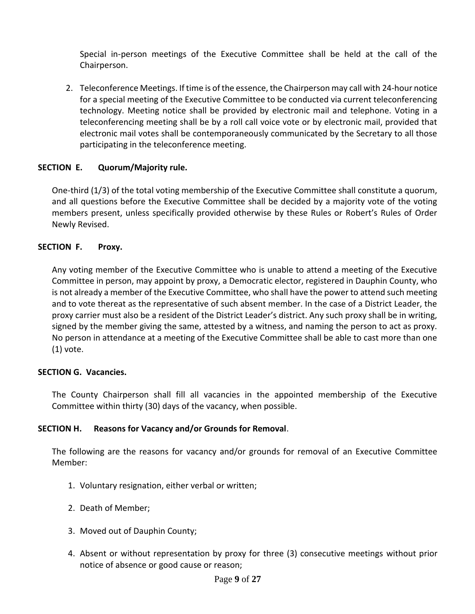Special in-person meetings of the Executive Committee shall be held at the call of the Chairperson.

2. Teleconference Meetings. If time is of the essence, the Chairperson may call with 24-hour notice for a special meeting of the Executive Committee to be conducted via current teleconferencing technology. Meeting notice shall be provided by electronic mail and telephone. Voting in a teleconferencing meeting shall be by a roll call voice vote or by electronic mail, provided that electronic mail votes shall be contemporaneously communicated by the Secretary to all those participating in the teleconference meeting.

#### **SECTION E. Quorum/Majority rule.**

One-third (1/3) of the total voting membership of the Executive Committee shall constitute a quorum, and all questions before the Executive Committee shall be decided by a majority vote of the voting members present, unless specifically provided otherwise by these Rules or Robert's Rules of Order Newly Revised.

#### **SECTION F. Proxy.**

Any voting member of the Executive Committee who is unable to attend a meeting of the Executive Committee in person, may appoint by proxy, a Democratic elector, registered in Dauphin County, who is not already a member of the Executive Committee, who shall have the power to attend such meeting and to vote thereat as the representative of such absent member. In the case of a District Leader, the proxy carrier must also be a resident of the District Leader's district. Any such proxy shall be in writing, signed by the member giving the same, attested by a witness, and naming the person to act as proxy. No person in attendance at a meeting of the Executive Committee shall be able to cast more than one (1) vote.

#### **SECTION G. Vacancies.**

The County Chairperson shall fill all vacancies in the appointed membership of the Executive Committee within thirty (30) days of the vacancy, when possible.

#### **SECTION H. Reasons for Vacancy and/or Grounds for Removal**.

The following are the reasons for vacancy and/or grounds for removal of an Executive Committee Member:

- 1. Voluntary resignation, either verbal or written;
- 2. Death of Member;
- 3. Moved out of Dauphin County;
- 4. Absent or without representation by proxy for three (3) consecutive meetings without prior notice of absence or good cause or reason;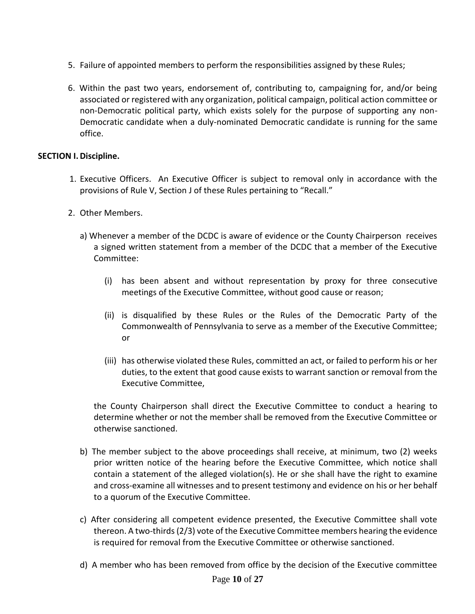- 5. Failure of appointed members to perform the responsibilities assigned by these Rules;
- 6. Within the past two years, endorsement of, contributing to, campaigning for, and/or being associated or registered with any organization, political campaign, political action committee or non-Democratic political party, which exists solely for the purpose of supporting any non-Democratic candidate when a duly-nominated Democratic candidate is running for the same office.

#### **SECTION I.Discipline.**

- 1. Executive Officers. An Executive Officer is subject to removal only in accordance with the provisions of Rule V, Section J of these Rules pertaining to "Recall."
- 2. Other Members.
	- a) Whenever a member of the DCDC is aware of evidence or the County Chairperson receives a signed written statement from a member of the DCDC that a member of the Executive Committee:
		- (i) has been absent and without representation by proxy for three consecutive meetings of the Executive Committee, without good cause or reason;
		- (ii) is disqualified by these Rules or the Rules of the Democratic Party of the Commonwealth of Pennsylvania to serve as a member of the Executive Committee; or
		- (iii) has otherwise violated these Rules, committed an act, or failed to perform his or her duties, to the extent that good cause exists to warrant sanction or removal from the Executive Committee,

the County Chairperson shall direct the Executive Committee to conduct a hearing to determine whether or not the member shall be removed from the Executive Committee or otherwise sanctioned.

- b) The member subject to the above proceedings shall receive, at minimum, two (2) weeks prior written notice of the hearing before the Executive Committee, which notice shall contain a statement of the alleged violation(s). He or she shall have the right to examine and cross-examine all witnesses and to present testimony and evidence on his or her behalf to a quorum of the Executive Committee.
- c) After considering all competent evidence presented, the Executive Committee shall vote thereon. A two-thirds (2/3) vote of the Executive Committee members hearing the evidence is required for removal from the Executive Committee or otherwise sanctioned.
- d) A member who has been removed from office by the decision of the Executive committee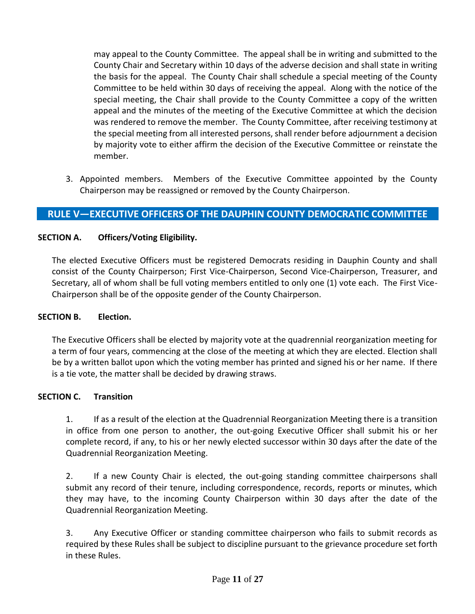may appeal to the County Committee. The appeal shall be in writing and submitted to the County Chair and Secretary within 10 days of the adverse decision and shall state in writing the basis for the appeal. The County Chair shall schedule a special meeting of the County Committee to be held within 30 days of receiving the appeal. Along with the notice of the special meeting, the Chair shall provide to the County Committee a copy of the written appeal and the minutes of the meeting of the Executive Committee at which the decision was rendered to remove the member. The County Committee, after receiving testimony at the special meeting from all interested persons, shall render before adjournment a decision by majority vote to either affirm the decision of the Executive Committee or reinstate the member.

3. Appointed members. Members of the Executive Committee appointed by the County Chairperson may be reassigned or removed by the County Chairperson.

# **RULE V—EXECUTIVE OFFICERS OF THE DAUPHIN COUNTY DEMOCRATIC COMMITTEE**

## **SECTION A. Officers/Voting Eligibility.**

The elected Executive Officers must be registered Democrats residing in Dauphin County and shall consist of the County Chairperson; First Vice-Chairperson, Second Vice-Chairperson, Treasurer, and Secretary, all of whom shall be full voting members entitled to only one (1) vote each. The First Vice-Chairperson shall be of the opposite gender of the County Chairperson.

#### **SECTION B. Election.**

The Executive Officers shall be elected by majority vote at the quadrennial reorganization meeting for a term of four years, commencing at the close of the meeting at which they are elected. Election shall be by a written ballot upon which the voting member has printed and signed his or her name. If there is a tie vote, the matter shall be decided by drawing straws.

#### **SECTION C. Transition**

1. If as a result of the election at the Quadrennial Reorganization Meeting there is a transition in office from one person to another, the out-going Executive Officer shall submit his or her complete record, if any, to his or her newly elected successor within 30 days after the date of the Quadrennial Reorganization Meeting.

2. If a new County Chair is elected, the out-going standing committee chairpersons shall submit any record of their tenure, including correspondence, records, reports or minutes, which they may have, to the incoming County Chairperson within 30 days after the date of the Quadrennial Reorganization Meeting.

3. Any Executive Officer or standing committee chairperson who fails to submit records as required by these Rules shall be subject to discipline pursuant to the grievance procedure set forth in these Rules.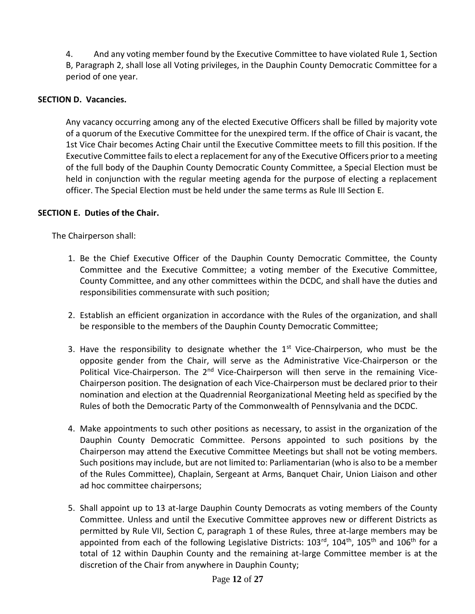4. And any voting member found by the Executive Committee to have violated Rule 1, Section B, Paragraph 2, shall lose all Voting privileges, in the Dauphin County Democratic Committee for a period of one year.

### **SECTION D. Vacancies.**

Any vacancy occurring among any of the elected Executive Officers shall be filled by majority vote of a quorum of the Executive Committee for the unexpired term. If the office of Chair is vacant, the 1st Vice Chair becomes Acting Chair until the Executive Committee meets to fill this position. If the Executive Committee fails to elect a replacement for any of the Executive Officers prior to a meeting of the full body of the Dauphin County Democratic County Committee, a Special Election must be held in conjunction with the regular meeting agenda for the purpose of electing a replacement officer. The Special Election must be held under the same terms as Rule III Section E.

#### **SECTION E. Duties of the Chair.**

The Chairperson shall:

- 1. Be the Chief Executive Officer of the Dauphin County Democratic Committee, the County Committee and the Executive Committee; a voting member of the Executive Committee, County Committee, and any other committees within the DCDC, and shall have the duties and responsibilities commensurate with such position;
- 2. Establish an efficient organization in accordance with the Rules of the organization, and shall be responsible to the members of the Dauphin County Democratic Committee;
- 3. Have the responsibility to designate whether the  $1<sup>st</sup>$  Vice-Chairperson, who must be the opposite gender from the Chair, will serve as the Administrative Vice-Chairperson or the Political Vice-Chairperson. The 2<sup>nd</sup> Vice-Chairperson will then serve in the remaining Vice-Chairperson position. The designation of each Vice-Chairperson must be declared prior to their nomination and election at the Quadrennial Reorganizational Meeting held as specified by the Rules of both the Democratic Party of the Commonwealth of Pennsylvania and the DCDC.
- 4. Make appointments to such other positions as necessary, to assist in the organization of the Dauphin County Democratic Committee. Persons appointed to such positions by the Chairperson may attend the Executive Committee Meetings but shall not be voting members. Such positions may include, but are not limited to: Parliamentarian (who is also to be a member of the Rules Committee), Chaplain, Sergeant at Arms, Banquet Chair, Union Liaison and other ad hoc committee chairpersons;
- 5. Shall appoint up to 13 at-large Dauphin County Democrats as voting members of the County Committee. Unless and until the Executive Committee approves new or different Districts as permitted by Rule VII, Section C, paragraph 1 of these Rules, three at-large members may be appointed from each of the following Legislative Districts:  $103^{rd}$ ,  $104^{th}$ ,  $105^{th}$  and  $106^{th}$  for a total of 12 within Dauphin County and the remaining at-large Committee member is at the discretion of the Chair from anywhere in Dauphin County;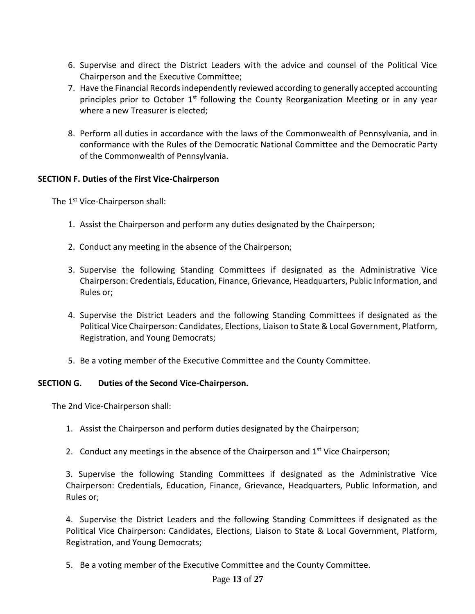- 6. Supervise and direct the District Leaders with the advice and counsel of the Political Vice Chairperson and the Executive Committee;
- 7. Have the Financial Records independently reviewed according to generally accepted accounting principles prior to October  $1<sup>st</sup>$  following the County Reorganization Meeting or in any year where a new Treasurer is elected;
- 8. Perform all duties in accordance with the laws of the Commonwealth of Pennsylvania, and in conformance with the Rules of the Democratic National Committee and the Democratic Party of the Commonwealth of Pennsylvania.

## **SECTION F. Duties of the First Vice-Chairperson**

The 1<sup>st</sup> Vice-Chairperson shall:

- 1. Assist the Chairperson and perform any duties designated by the Chairperson;
- 2. Conduct any meeting in the absence of the Chairperson;
- 3. Supervise the following Standing Committees if designated as the Administrative Vice Chairperson: Credentials, Education, Finance, Grievance, Headquarters, Public Information, and Rules or;
- 4. Supervise the District Leaders and the following Standing Committees if designated as the Political Vice Chairperson: Candidates, Elections, Liaison to State & Local Government, Platform, Registration, and Young Democrats;
- 5. Be a voting member of the Executive Committee and the County Committee.

#### **SECTION G. Duties of the Second Vice-Chairperson.**

The 2nd Vice-Chairperson shall:

- 1. Assist the Chairperson and perform duties designated by the Chairperson;
- 2. Conduct any meetings in the absence of the Chairperson and 1<sup>st</sup> Vice Chairperson;

3. Supervise the following Standing Committees if designated as the Administrative Vice Chairperson: Credentials, Education, Finance, Grievance, Headquarters, Public Information, and Rules or;

4. Supervise the District Leaders and the following Standing Committees if designated as the Political Vice Chairperson: Candidates, Elections, Liaison to State & Local Government, Platform, Registration, and Young Democrats;

5. Be a voting member of the Executive Committee and the County Committee.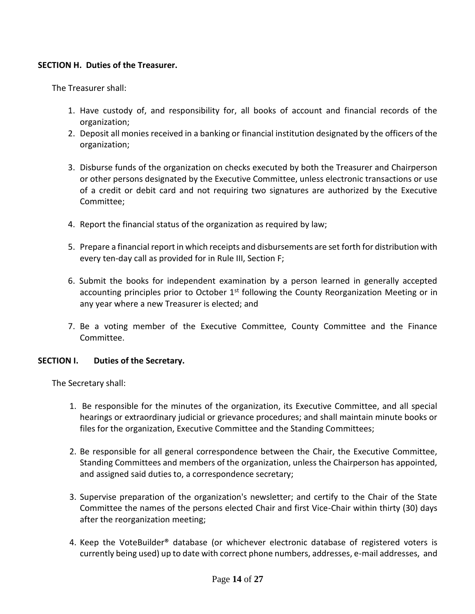#### **SECTION H. Duties of the Treasurer.**

The Treasurer shall:

- 1. Have custody of, and responsibility for, all books of account and financial records of the organization;
- 2. Deposit all monies received in a banking or financial institution designated by the officers of the organization;
- 3. Disburse funds of the organization on checks executed by both the Treasurer and Chairperson or other persons designated by the Executive Committee, unless electronic transactions or use of a credit or debit card and not requiring two signatures are authorized by the Executive Committee;
- 4. Report the financial status of the organization as required by law;
- 5. Prepare a financial report in which receipts and disbursements are set forth for distribution with every ten-day call as provided for in Rule III, Section F;
- 6. Submit the books for independent examination by a person learned in generally accepted accounting principles prior to October  $1<sup>st</sup>$  following the County Reorganization Meeting or in any year where a new Treasurer is elected; and
- 7. Be a voting member of the Executive Committee, County Committee and the Finance Committee.

#### **SECTION I. Duties of the Secretary.**

The Secretary shall:

- 1. Be responsible for the minutes of the organization, its Executive Committee, and all special hearings or extraordinary judicial or grievance procedures; and shall maintain minute books or files for the organization, Executive Committee and the Standing Committees;
- 2. Be responsible for all general correspondence between the Chair, the Executive Committee, Standing Committees and members of the organization, unless the Chairperson has appointed, and assigned said duties to, a correspondence secretary;
- 3. Supervise preparation of the organization's newsletter; and certify to the Chair of the State Committee the names of the persons elected Chair and first Vice-Chair within thirty (30) days after the reorganization meeting;
- 4. Keep the VoteBuilder® database (or whichever electronic database of registered voters is currently being used) up to date with correct phone numbers, addresses, e-mail addresses, and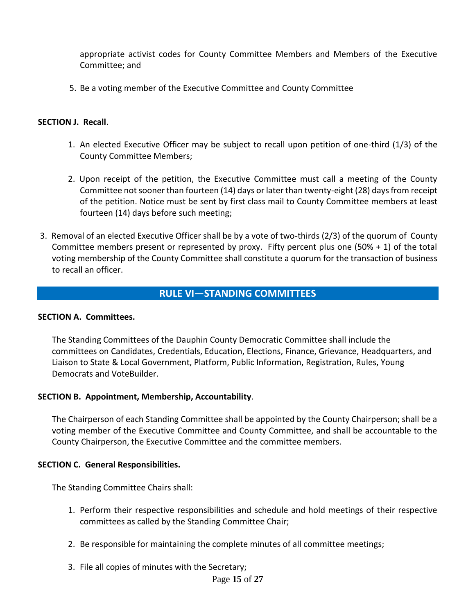appropriate activist codes for County Committee Members and Members of the Executive Committee; and

5. Be a voting member of the Executive Committee and County Committee

#### **SECTION J. Recall**.

- 1. An elected Executive Officer may be subject to recall upon petition of one-third (1/3) of the County Committee Members;
- 2. Upon receipt of the petition, the Executive Committee must call a meeting of the County Committee not sooner than fourteen (14) days or later than twenty-eight (28) days from receipt of the petition. Notice must be sent by first class mail to County Committee members at least fourteen (14) days before such meeting;
- 3. Removal of an elected Executive Officer shall be by a vote of two-thirds (2/3) of the quorum of County Committee members present or represented by proxy. Fifty percent plus one (50% + 1) of the total voting membership of the County Committee shall constitute a quorum for the transaction of business to recall an officer.

## **RULE VI—STANDING COMMITTEES**

#### **A. SECTION A. Committees.**

The Standing Committees of the Dauphin County Democratic Committee shall include the committees on Candidates, Credentials, Education, Elections, Finance, Grievance, Headquarters, and Liaison to State & Local Government, Platform, Public Information, Registration, Rules, Young Democrats and VoteBuilder.

#### **SECTION B. Appointment, Membership, Accountability**.

The Chairperson of each Standing Committee shall be appointed by the County Chairperson; shall be a voting member of the Executive Committee and County Committee, and shall be accountable to the County Chairperson, the Executive Committee and the committee members.

#### **SECTION C. General Responsibilities.**

The Standing Committee Chairs shall:

- 1. Perform their respective responsibilities and schedule and hold meetings of their respective committees as called by the Standing Committee Chair;
- 2. Be responsible for maintaining the complete minutes of all committee meetings;
- 3. File all copies of minutes with the Secretary;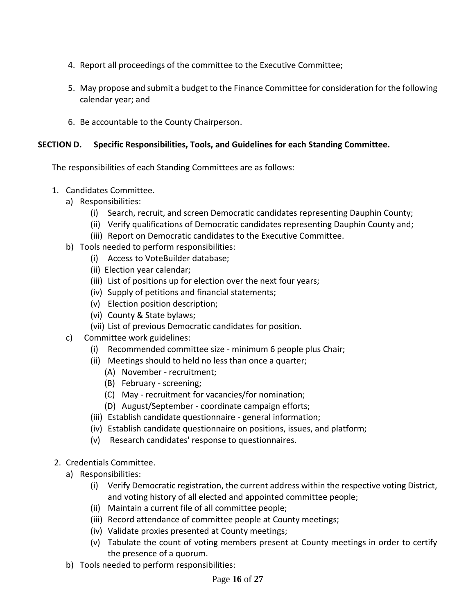- 4. Report all proceedings of the committee to the Executive Committee;
- 5. May propose and submit a budget to the Finance Committee for consideration for the following calendar year; and
- 6. Be accountable to the County Chairperson.

## **SECTION D. Specific Responsibilities, Tools, and Guidelines for each Standing Committee.**

The responsibilities of each Standing Committees are as follows:

- 1. Candidates Committee.
	- a) Responsibilities:
		- (i) Search, recruit, and screen Democratic candidates representing Dauphin County;
		- (ii) Verify qualifications of Democratic candidates representing Dauphin County and;
		- (iii) Report on Democratic candidates to the Executive Committee.
	- b) Tools needed to perform responsibilities:
		- (i) Access to VoteBuilder database;
		- (ii) Election year calendar;
		- (iii) List of positions up for election over the next four years;
		- (iv) Supply of petitions and financial statements;
		- (v) Election position description;
		- (vi) County & State bylaws;
		- (vii) List of previous Democratic candidates for position.
	- c) Committee work guidelines:
		- (i) Recommended committee size minimum 6 people plus Chair;
		- (ii) Meetings should to held no less than once a quarter;
			- (A) November recruitment;
			- (B) February screening;
			- (C) May recruitment for vacancies/for nomination;
			- (D) August/September coordinate campaign efforts;
		- (iii) Establish candidate questionnaire general information;
		- (iv) Establish candidate questionnaire on positions, issues, and platform;
		- (v) Research candidates' response to questionnaires.
- 2. Credentials Committee.
	- a) Responsibilities:
		- (i) Verify Democratic registration, the current address within the respective voting District, and voting history of all elected and appointed committee people;
		- (ii) Maintain a current file of all committee people;
		- (iii) Record attendance of committee people at County meetings;
		- (iv) Validate proxies presented at County meetings;
		- (v) Tabulate the count of voting members present at County meetings in order to certify the presence of a quorum.
	- b) Tools needed to perform responsibilities: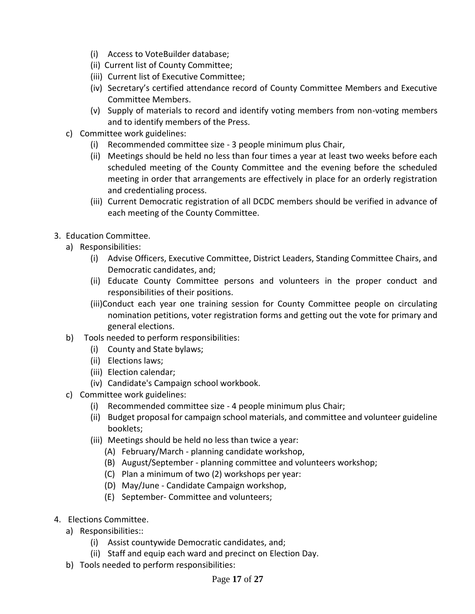- (i) Access to VoteBuilder database;
- (ii) Current list of County Committee;
- (iii) Current list of Executive Committee;
- (iv) Secretary's certified attendance record of County Committee Members and Executive Committee Members.
- (v) Supply of materials to record and identify voting members from non-voting members and to identify members of the Press.
- c) Committee work guidelines:
	- (i) Recommended committee size 3 people minimum plus Chair,
	- (ii) Meetings should be held no less than four times a year at least two weeks before each scheduled meeting of the County Committee and the evening before the scheduled meeting in order that arrangements are effectively in place for an orderly registration and credentialing process.
	- (iii) Current Democratic registration of all DCDC members should be verified in advance of each meeting of the County Committee.
- 3. Education Committee.
	- a) Responsibilities:
		- (i) Advise Officers, Executive Committee, District Leaders, Standing Committee Chairs, and Democratic candidates, and;
		- (ii) Educate County Committee persons and volunteers in the proper conduct and responsibilities of their positions.
		- (iii)Conduct each year one training session for County Committee people on circulating nomination petitions, voter registration forms and getting out the vote for primary and general elections.
	- b) Tools needed to perform responsibilities:
		- (i) County and State bylaws;
		- (ii) Elections laws;
		- (iii) Election calendar;
		- (iv) Candidate's Campaign school workbook.
	- c) Committee work guidelines:
		- (i) Recommended committee size 4 people minimum plus Chair;
		- (ii) Budget proposal for campaign school materials, and committee and volunteer guideline booklets;
		- (iii) Meetings should be held no less than twice a year:
			- (A) February/March planning candidate workshop,
			- (B) August/September planning committee and volunteers workshop;
			- (C) Plan a minimum of two (2) workshops per year:
			- (D) May/June Candidate Campaign workshop,
			- (E) September- Committee and volunteers;
- 4. Elections Committee.
	- a) Responsibilities::
		- (i) Assist countywide Democratic candidates, and;
		- (ii) Staff and equip each ward and precinct on Election Day.
	- b) Tools needed to perform responsibilities: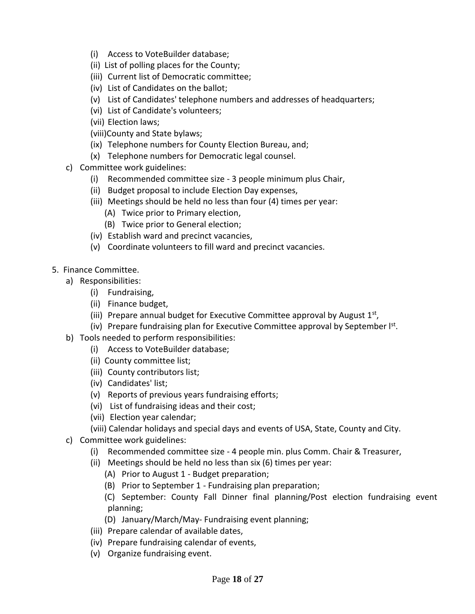- (i) Access to VoteBuilder database;
- (ii) List of polling places for the County;
- (iii) Current list of Democratic committee;
- (iv) List of Candidates on the ballot;
- (v) List of Candidates' telephone numbers and addresses of headquarters;
- (vi) List of Candidate's volunteers;
- (vii) Election laws;
- (viii)County and State bylaws;
- (ix) Telephone numbers for County Election Bureau, and;
- (x) Telephone numbers for Democratic legal counsel.
- c) Committee work guidelines:
	- (i) Recommended committee size 3 people minimum plus Chair,
	- (ii) Budget proposal to include Election Day expenses,
	- (iii) Meetings should be held no less than four (4) times per year:
		- (A) Twice prior to Primary election,
		- (B) Twice prior to General election;
	- (iv) Establish ward and precinct vacancies,
	- (v) Coordinate volunteers to fill ward and precinct vacancies.
- 5. Finance Committee.
	- a) Responsibilities:
		- (i) Fundraising,
		- (ii) Finance budget,
		- (iii) Prepare annual budget for Executive Committee approval by August  $1<sup>st</sup>$ ,
		- (iv) Prepare fundraising plan for Executive Committee approval by September  $I^{st}$ .
	- b) Tools needed to perform responsibilities:
		- (i) Access to VoteBuilder database;
		- (ii) County committee list;
		- (iii) County contributors list;
		- (iv) Candidates' list;
		- (v) Reports of previous years fundraising efforts;
		- (vi) List of fundraising ideas and their cost;
		- (vii) Election year calendar;
		- (viii) Calendar holidays and special days and events of USA, State, County and City.
	- c) Committee work guidelines:
		- (i) Recommended committee size 4 people min. plus Comm. Chair & Treasurer,
		- (ii) Meetings should be held no less than six (6) times per year:
			- (A) Prior to August 1 Budget preparation;
			- (B) Prior to September 1 Fundraising plan preparation;
			- (C) September: County Fall Dinner final planning/Post election fundraising event planning;
			- (D) January/March/May- Fundraising event planning;
		- (iii) Prepare calendar of available dates,
		- (iv) Prepare fundraising calendar of events,
		- (v) Organize fundraising event.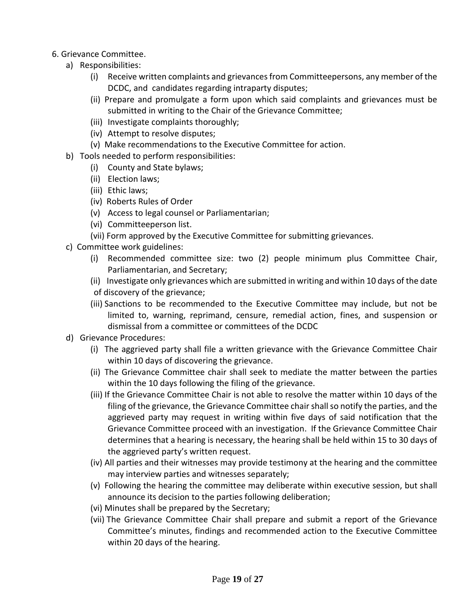## 6. Grievance Committee.

- a) Responsibilities:
	- (i) Receive written complaints and grievances from Committeepersons, any member of the DCDC, and candidates regarding intraparty disputes;
	- (ii) Prepare and promulgate a form upon which said complaints and grievances must be submitted in writing to the Chair of the Grievance Committee;
	- (iii) Investigate complaints thoroughly;
	- (iv) Attempt to resolve disputes;
	- (v) Make recommendations to the Executive Committee for action.
- b) Tools needed to perform responsibilities:
	- (i) County and State bylaws;
	- (ii) Election laws;
	- (iii) Ethic laws;
	- (iv) Roberts Rules of Order
	- (v) Access to legal counsel or Parliamentarian;
	- (vi) Committeeperson list.
	- (vii) Form approved by the Executive Committee for submitting grievances.
- c) Committee work guidelines:
	- (i) Recommended committee size: two (2) people minimum plus Committee Chair, Parliamentarian, and Secretary;
	- (ii) Investigate only grievances which are submitted in writing and within 10 days of the date
	- of discovery of the grievance;
	- (iii) Sanctions to be recommended to the Executive Committee may include, but not be limited to, warning, reprimand, censure, remedial action, fines, and suspension or dismissal from a committee or committees of the DCDC
- d) Grievance Procedures:
	- (i) The aggrieved party shall file a written grievance with the Grievance Committee Chair within 10 days of discovering the grievance.
	- (ii) The Grievance Committee chair shall seek to mediate the matter between the parties within the 10 days following the filing of the grievance.
	- (iii) If the Grievance Committee Chair is not able to resolve the matter within 10 days of the filing of the grievance, the Grievance Committee chair shall so notify the parties, and the aggrieved party may request in writing within five days of said notification that the Grievance Committee proceed with an investigation. If the Grievance Committee Chair determines that a hearing is necessary, the hearing shall be held within 15 to 30 days of the aggrieved party's written request.
	- (iv) All parties and their witnesses may provide testimony at the hearing and the committee may interview parties and witnesses separately;
	- (v) Following the hearing the committee may deliberate within executive session, but shall announce its decision to the parties following deliberation;
	- (vi) Minutes shall be prepared by the Secretary;
	- (vii) The Grievance Committee Chair shall prepare and submit a report of the Grievance Committee's minutes, findings and recommended action to the Executive Committee within 20 days of the hearing.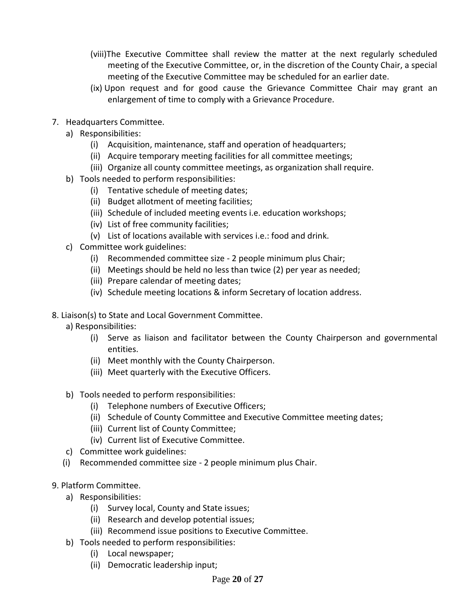- (viii)The Executive Committee shall review the matter at the next regularly scheduled meeting of the Executive Committee, or, in the discretion of the County Chair, a special meeting of the Executive Committee may be scheduled for an earlier date.
- (ix) Upon request and for good cause the Grievance Committee Chair may grant an enlargement of time to comply with a Grievance Procedure.
- 7. Headquarters Committee.
	- a) Responsibilities:
		- (i) Acquisition, maintenance, staff and operation of headquarters;
		- (ii) Acquire temporary meeting facilities for all committee meetings;
		- (iii) Organize all county committee meetings, as organization shall require.
	- b) Tools needed to perform responsibilities:
		- (i) Tentative schedule of meeting dates;
		- (ii) Budget allotment of meeting facilities;
		- (iii) Schedule of included meeting events i.e. education workshops;
		- (iv) List of free community facilities;
		- (v) List of locations available with services i.e.: food and drink.
	- c) Committee work guidelines:
		- (i) Recommended committee size 2 people minimum plus Chair;
		- (ii) Meetings should be held no less than twice (2) per year as needed;
		- (iii) Prepare calendar of meeting dates;
		- (iv) Schedule meeting locations & inform Secretary of location address.
- 8. Liaison(s) to State and Local Government Committee.
	- a) Responsibilities:
		- (i) Serve as liaison and facilitator between the County Chairperson and governmental entities.
		- (ii) Meet monthly with the County Chairperson.
		- (iii) Meet quarterly with the Executive Officers.
	- b) Tools needed to perform responsibilities:
		- (i) Telephone numbers of Executive Officers;
		- (ii) Schedule of County Committee and Executive Committee meeting dates;
		- (iii) Current list of County Committee;
		- (iv) Current list of Executive Committee.
	- c) Committee work guidelines:
	- (i) Recommended committee size 2 people minimum plus Chair.
- 9. Platform Committee.
	- a) Responsibilities:
		- (i) Survey local, County and State issues;
		- (ii) Research and develop potential issues;
		- (iii) Recommend issue positions to Executive Committee.
	- b) Tools needed to perform responsibilities:
		- (i) Local newspaper;
		- (ii) Democratic leadership input;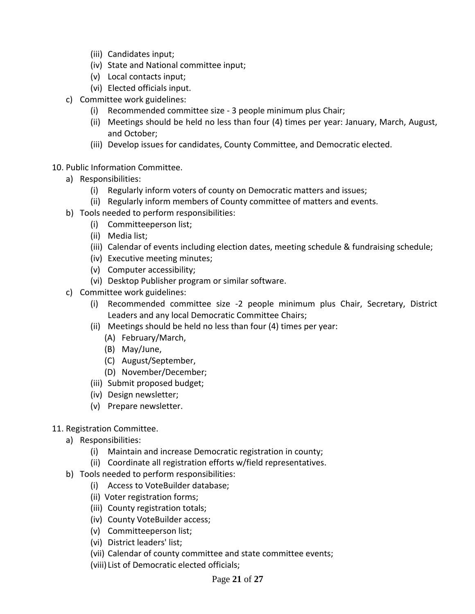- (iii) Candidates input;
- (iv) State and National committee input;
- (v) Local contacts input;
- (vi) Elected officials input.
- c) Committee work guidelines:
	- (i) Recommended committee size 3 people minimum plus Chair;
	- (ii) Meetings should be held no less than four (4) times per year: January, March, August, and October;
	- (iii) Develop issues for candidates, County Committee, and Democratic elected.
- 10. Public Information Committee.
	- a) Responsibilities:
		- (i) Regularly inform voters of county on Democratic matters and issues;
		- (ii) Regularly inform members of County committee of matters and events.
	- b) Tools needed to perform responsibilities:
		- (i) Committeeperson list;
		- (ii) Media list;
		- (iii) Calendar of events including election dates, meeting schedule & fundraising schedule;
		- (iv) Executive meeting minutes;
		- (v) Computer accessibility;
		- (vi) Desktop Publisher program or similar software.
	- c) Committee work guidelines:
		- (i) Recommended committee size -2 people minimum plus Chair, Secretary, District Leaders and any local Democratic Committee Chairs;
		- (ii) Meetings should be held no less than four (4) times per year:
			- (A) February/March,
			- (B) May/June,
			- (C) August/September,
			- (D) November/December;
		- (iii) Submit proposed budget;
		- (iv) Design newsletter;
		- (v) Prepare newsletter.
- 11. Registration Committee.
	- a) Responsibilities:
		- (i) Maintain and increase Democratic registration in county;
		- (ii) Coordinate all registration efforts w/field representatives.
	- b) Tools needed to perform responsibilities:
		- (i) Access to VoteBuilder database;
		- (ii) Voter registration forms;
		- (iii) County registration totals;
		- (iv) County VoteBuilder access;
		- (v) Committeeperson list;
		- (vi) District leaders' list;
		- (vii) Calendar of county committee and state committee events;
		- (viii) List of Democratic elected officials;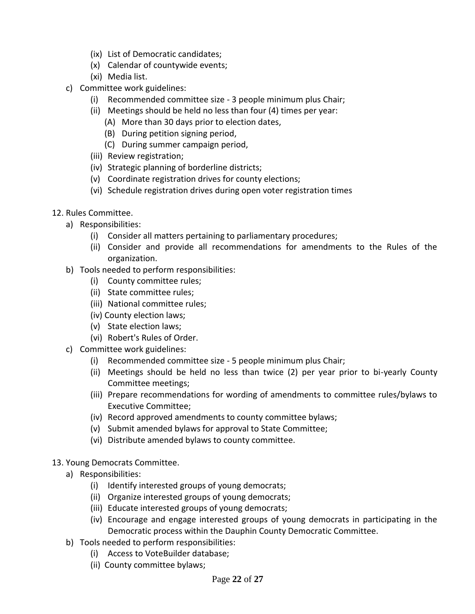- (ix) List of Democratic candidates;
- (x) Calendar of countywide events;
- (xi) Media list.
- c) Committee work guidelines:
	- (i) Recommended committee size 3 people minimum plus Chair;
	- (ii) Meetings should be held no less than four (4) times per year:
		- (A) More than 30 days prior to election dates,
		- (B) During petition signing period,
		- (C) During summer campaign period,
	- (iii) Review registration;
	- (iv) Strategic planning of borderline districts;
	- (v) Coordinate registration drives for county elections;
	- (vi) Schedule registration drives during open voter registration times
- 12. Rules Committee.
	- a) Responsibilities:
		- (i) Consider all matters pertaining to parliamentary procedures;
		- (ii) Consider and provide all recommendations for amendments to the Rules of the organization.
	- b) Tools needed to perform responsibilities:
		- (i) County committee rules;
		- (ii) State committee rules;
		- (iii) National committee rules;
		- (iv) County election laws;
		- (v) State election laws;
		- (vi) Robert's Rules of Order.
	- c) Committee work guidelines:
		- (i) Recommended committee size 5 people minimum plus Chair;
		- (ii) Meetings should be held no less than twice (2) per year prior to bi-yearly County Committee meetings;
		- (iii) Prepare recommendations for wording of amendments to committee rules/bylaws to Executive Committee;
		- (iv) Record approved amendments to county committee bylaws;
		- (v) Submit amended bylaws for approval to State Committee;
		- (vi) Distribute amended bylaws to county committee.
- 13. Young Democrats Committee.
	- a) Responsibilities:
		- (i) Identify interested groups of young democrats;
		- (ii) Organize interested groups of young democrats;
		- (iii) Educate interested groups of young democrats;
		- (iv) Encourage and engage interested groups of young democrats in participating in the Democratic process within the Dauphin County Democratic Committee.
	- b) Tools needed to perform responsibilities:
		- (i) Access to VoteBuilder database;
		- (ii) County committee bylaws;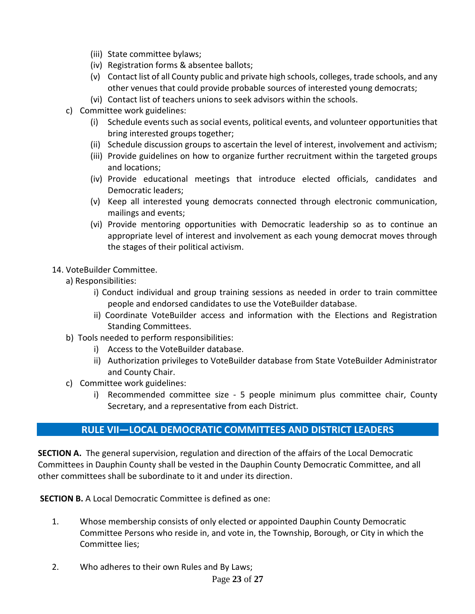- (iii) State committee bylaws;
- (iv) Registration forms & absentee ballots;
- (v) Contact list of all County public and private high schools, colleges, trade schools, and any other venues that could provide probable sources of interested young democrats;
- (vi) Contact list of teachers unions to seek advisors within the schools.
- c) Committee work guidelines:
	- (i) Schedule events such as social events, political events, and volunteer opportunities that bring interested groups together;
	- (ii) Schedule discussion groups to ascertain the level of interest, involvement and activism;
	- (iii) Provide guidelines on how to organize further recruitment within the targeted groups and locations;
	- (iv) Provide educational meetings that introduce elected officials, candidates and Democratic leaders;
	- (v) Keep all interested young democrats connected through electronic communication, mailings and events;
	- (vi) Provide mentoring opportunities with Democratic leadership so as to continue an appropriate level of interest and involvement as each young democrat moves through the stages of their political activism.
- 14. VoteBuilder Committee.
	- a) Responsibilities:
		- i) Conduct individual and group training sessions as needed in order to train committee people and endorsed candidates to use the VoteBuilder database.
		- ii) Coordinate VoteBuilder access and information with the Elections and Registration Standing Committees.
	- b) Tools needed to perform responsibilities:
		- i) Access to the VoteBuilder database.
		- ii) Authorization privileges to VoteBuilder database from State VoteBuilder Administrator and County Chair.
	- c) Committee work guidelines:
		- i) Recommended committee size 5 people minimum plus committee chair, County Secretary, and a representative from each District.

# **RULE VII—LOCAL DEMOCRATIC COMMITTEES AND DISTRICT LEADERS**

**SECTION A.** The general supervision, regulation and direction of the affairs of the Local Democratic Committees in Dauphin County shall be vested in the Dauphin County Democratic Committee, and all other committees shall be subordinate to it and under its direction.

**SECTION B.** A Local Democratic Committee is defined as one:

- 1. Whose membership consists of only elected or appointed Dauphin County Democratic Committee Persons who reside in, and vote in, the Township, Borough, or City in which the Committee lies;
- 2. Who adheres to their own Rules and By Laws;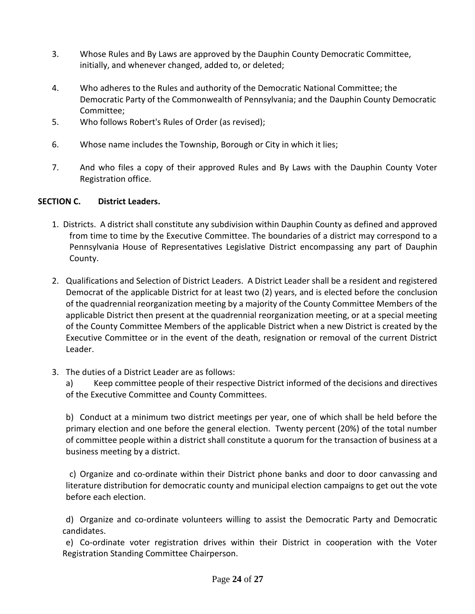- 3. Whose Rules and By Laws are approved by the Dauphin County Democratic Committee, initially, and whenever changed, added to, or deleted;
- 4. Who adheres to the Rules and authority of the Democratic National Committee; the Democratic Party of the Commonwealth of Pennsylvania; and the Dauphin County Democratic Committee;
- 5. Who follows Robert's Rules of Order (as revised);
- 6. Whose name includes the Township, Borough or City in which it lies;
- 7. And who files a copy of their approved Rules and By Laws with the Dauphin County Voter Registration office.

#### **SECTION C. District Leaders.**

- 1. Districts. A district shall constitute any subdivision within Dauphin County as defined and approved from time to time by the Executive Committee. The boundaries of a district may correspond to a Pennsylvania House of Representatives Legislative District encompassing any part of Dauphin County.
- 2. Qualifications and Selection of District Leaders. A District Leader shall be a resident and registered Democrat of the applicable District for at least two (2) years, and is elected before the conclusion of the quadrennial reorganization meeting by a majority of the County Committee Members of the applicable District then present at the quadrennial reorganization meeting, or at a special meeting of the County Committee Members of the applicable District when a new District is created by the Executive Committee or in the event of the death, resignation or removal of the current District Leader.
- 3. The duties of a District Leader are as follows:

a) Keep committee people of their respective District informed of the decisions and directives of the Executive Committee and County Committees.

b) Conduct at a minimum two district meetings per year, one of which shall be held before the primary election and one before the general election. Twenty percent (20%) of the total number of committee people within a district shall constitute a quorum for the transaction of business at a business meeting by a district.

c) Organize and co-ordinate within their District phone banks and door to door canvassing and literature distribution for democratic county and municipal election campaigns to get out the vote before each election.

d) Organize and co-ordinate volunteers willing to assist the Democratic Party and Democratic candidates.

e) Co-ordinate voter registration drives within their District in cooperation with the Voter Registration Standing Committee Chairperson.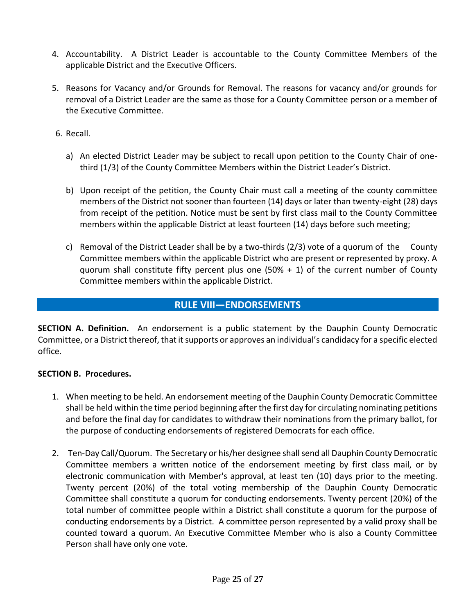- 4. Accountability. A District Leader is accountable to the County Committee Members of the applicable District and the Executive Officers.
- 5. Reasons for Vacancy and/or Grounds for Removal. The reasons for vacancy and/or grounds for removal of a District Leader are the same as those for a County Committee person or a member of the Executive Committee.
- 6. Recall.
	- a) An elected District Leader may be subject to recall upon petition to the County Chair of onethird (1/3) of the County Committee Members within the District Leader's District.
	- b) Upon receipt of the petition, the County Chair must call a meeting of the county committee members of the District not sooner than fourteen (14) days or later than twenty-eight (28) days from receipt of the petition. Notice must be sent by first class mail to the County Committee members within the applicable District at least fourteen (14) days before such meeting;
	- c) Removal of the District Leader shall be by a two-thirds (2/3) vote of a quorum of the County Committee members within the applicable District who are present or represented by proxy. A quorum shall constitute fifty percent plus one  $(50% + 1)$  of the current number of County Committee members within the applicable District.

## **RULE VIII—ENDORSEMENTS**

**SECTION A. Definition.** An endorsement is a public statement by the Dauphin County Democratic Committee, or a District thereof, that it supports or approves an individual's candidacy for a specific elected office.

#### **SECTION B. Procedures.**

- 1. When meeting to be held. An endorsement meeting of the Dauphin County Democratic Committee shall be held within the time period beginning after the first day for circulating nominating petitions and before the final day for candidates to withdraw their nominations from the primary ballot, for the purpose of conducting endorsements of registered Democrats for each office.
- 2. Ten-Day Call/Quorum. The Secretary or his/her designee shall send all Dauphin County Democratic Committee members a written notice of the endorsement meeting by first class mail, or by electronic communication with Member's approval, at least ten (10) days prior to the meeting. Twenty percent (20%) of the total voting membership of the Dauphin County Democratic Committee shall constitute a quorum for conducting endorsements. Twenty percent (20%) of the total number of committee people within a District shall constitute a quorum for the purpose of conducting endorsements by a District. A committee person represented by a valid proxy shall be counted toward a quorum. An Executive Committee Member who is also a County Committee Person shall have only one vote.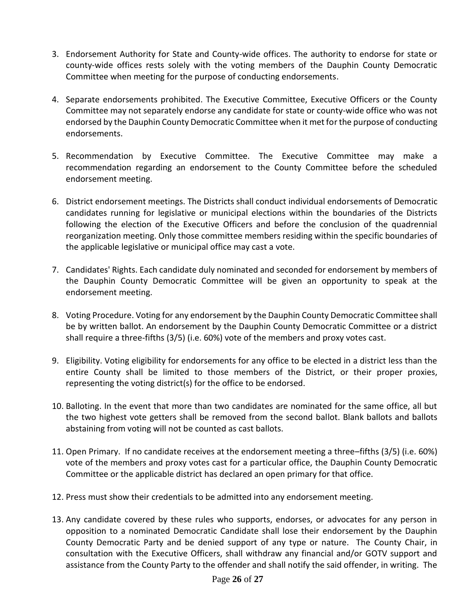- 3. Endorsement Authority for State and County-wide offices. The authority to endorse for state or county-wide offices rests solely with the voting members of the Dauphin County Democratic Committee when meeting for the purpose of conducting endorsements.
- 4. Separate endorsements prohibited. The Executive Committee, Executive Officers or the County Committee may not separately endorse any candidate for state or county-wide office who was not endorsed by the Dauphin County Democratic Committee when it met for the purpose of conducting endorsements.
- 5. Recommendation by Executive Committee. The Executive Committee may make a recommendation regarding an endorsement to the County Committee before the scheduled endorsement meeting.
- 6. District endorsement meetings. The Districts shall conduct individual endorsements of Democratic candidates running for legislative or municipal elections within the boundaries of the Districts following the election of the Executive Officers and before the conclusion of the quadrennial reorganization meeting. Only those committee members residing within the specific boundaries of the applicable legislative or municipal office may cast a vote.
- 7. Candidates' Rights. Each candidate duly nominated and seconded for endorsement by members of the Dauphin County Democratic Committee will be given an opportunity to speak at the endorsement meeting.
- 8. Voting Procedure. Voting for any endorsement by the Dauphin County Democratic Committee shall be by written ballot. An endorsement by the Dauphin County Democratic Committee or a district shall require a three-fifths (3/5) (i.e. 60%) vote of the members and proxy votes cast.
- 9. Eligibility. Voting eligibility for endorsements for any office to be elected in a district less than the entire County shall be limited to those members of the District, or their proper proxies, representing the voting district(s) for the office to be endorsed.
- 10. Balloting. In the event that more than two candidates are nominated for the same office, all but the two highest vote getters shall be removed from the second ballot. Blank ballots and ballots abstaining from voting will not be counted as cast ballots.
- 11. Open Primary. If no candidate receives at the endorsement meeting a three–fifths (3/5) (i.e. 60%) vote of the members and proxy votes cast for a particular office, the Dauphin County Democratic Committee or the applicable district has declared an open primary for that office.
- 12. Press must show their credentials to be admitted into any endorsement meeting.
- 13. Any candidate covered by these rules who supports, endorses, or advocates for any person in opposition to a nominated Democratic Candidate shall lose their endorsement by the Dauphin County Democratic Party and be denied support of any type or nature. The County Chair, in consultation with the Executive Officers, shall withdraw any financial and/or GOTV support and assistance from the County Party to the offender and shall notify the said offender, in writing. The